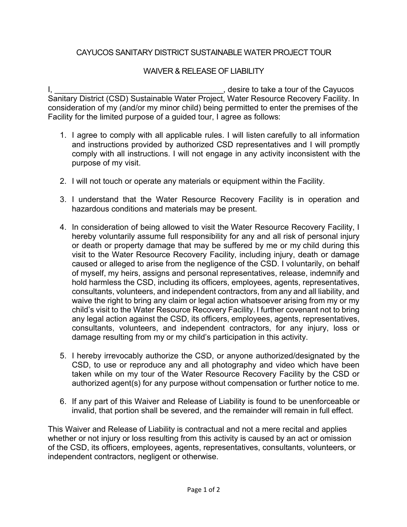## CAYUCOS SANITARY DISTRICT SUSTAINABLE WATER PROJECT TOUR

## WAIVER & RELEASE OF LIABILITY

I, \_\_\_\_\_\_\_\_\_\_\_\_\_\_\_\_\_\_\_\_\_\_\_\_\_\_\_\_\_\_\_\_\_\_\_\_\_\_, desire to take a tour of the Cayucos Sanitary District (CSD) Sustainable Water Project, Water Resource Recovery Facility. In consideration of my (and/or my minor child) being permitted to enter the premises of the Facility for the limited purpose of a guided tour, I agree as follows:

- 1. I agree to comply with all applicable rules. I will listen carefully to all information and instructions provided by authorized CSD representatives and I will promptly comply with all instructions. I will not engage in any activity inconsistent with the purpose of my visit.
- 2. I will not touch or operate any materials or equipment within the Facility.
- 3. I understand that the Water Resource Recovery Facility is in operation and hazardous conditions and materials may be present.
- 4. In consideration of being allowed to visit the Water Resource Recovery Facility, I hereby voluntarily assume full responsibility for any and all risk of personal injury or death or property damage that may be suffered by me or my child during this visit to the Water Resource Recovery Facility, including injury, death or damage caused or alleged to arise from the negligence of the CSD. I voluntarily, on behalf of myself, my heirs, assigns and personal representatives, release, indemnify and hold harmless the CSD, including its officers, employees, agents, representatives, consultants, volunteers, and independent contractors, from any and all liability, and waive the right to bring any claim or legal action whatsoever arising from my or my child's visit to the Water Resource Recovery Facility. I further covenant not to bring any legal action against the CSD, its officers, employees, agents, representatives, consultants, volunteers, and independent contractors, for any injury, loss or damage resulting from my or my child's participation in this activity.
- 5. I hereby irrevocably authorize the CSD, or anyone authorized/designated by the CSD, to use or reproduce any and all photography and video which have been taken while on my tour of the Water Resource Recovery Facility by the CSD or authorized agent(s) for any purpose without compensation or further notice to me.
- 6. If any part of this Waiver and Release of Liability is found to be unenforceable or invalid, that portion shall be severed, and the remainder will remain in full effect.

This Waiver and Release of Liability is contractual and not a mere recital and applies whether or not injury or loss resulting from this activity is caused by an act or omission of the CSD, its officers, employees, agents, representatives, consultants, volunteers, or independent contractors, negligent or otherwise.